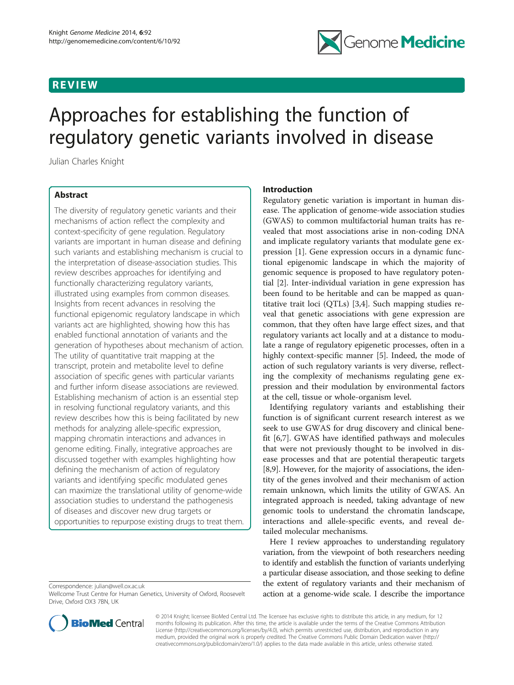# REVIEW



# Approaches for establishing the function of regulatory genetic variants involved in disease

Julian Charles Knight

# Abstract

The diversity of regulatory genetic variants and their mechanisms of action reflect the complexity and context-specificity of gene regulation. Regulatory variants are important in human disease and defining such variants and establishing mechanism is crucial to the interpretation of disease-association studies. This review describes approaches for identifying and functionally characterizing regulatory variants, illustrated using examples from common diseases. Insights from recent advances in resolving the functional epigenomic regulatory landscape in which variants act are highlighted, showing how this has enabled functional annotation of variants and the generation of hypotheses about mechanism of action. The utility of quantitative trait mapping at the transcript, protein and metabolite level to define association of specific genes with particular variants and further inform disease associations are reviewed. Establishing mechanism of action is an essential step in resolving functional regulatory variants, and this review describes how this is being facilitated by new methods for analyzing allele-specific expression, mapping chromatin interactions and advances in genome editing. Finally, integrative approaches are discussed together with examples highlighting how defining the mechanism of action of regulatory variants and identifying specific modulated genes can maximize the translational utility of genome-wide association studies to understand the pathogenesis of diseases and discover new drug targets or opportunities to repurpose existing drugs to treat them.



Regulatory genetic variation is important in human disease. The application of genome-wide association studies (GWAS) to common multifactorial human traits has revealed that most associations arise in non-coding DNA and implicate regulatory variants that modulate gene expression [\[1](#page-10-0)]. Gene expression occurs in a dynamic functional epigenomic landscape in which the majority of genomic sequence is proposed to have regulatory potential [\[2\]](#page-11-0). Inter-individual variation in gene expression has been found to be heritable and can be mapped as quantitative trait loci (QTLs) [[3](#page-11-0),[4](#page-11-0)]. Such mapping studies reveal that genetic associations with gene expression are common, that they often have large effect sizes, and that regulatory variants act locally and at a distance to modulate a range of regulatory epigenetic processes, often in a highly context-specific manner [[5](#page-11-0)]. Indeed, the mode of action of such regulatory variants is very diverse, reflecting the complexity of mechanisms regulating gene expression and their modulation by environmental factors at the cell, tissue or whole-organism level.

Identifying regulatory variants and establishing their function is of significant current research interest as we seek to use GWAS for drug discovery and clinical benefit [\[6,7](#page-11-0)]. GWAS have identified pathways and molecules that were not previously thought to be involved in disease processes and that are potential therapeutic targets [[8,9\]](#page-11-0). However, for the majority of associations, the identity of the genes involved and their mechanism of action remain unknown, which limits the utility of GWAS. An integrated approach is needed, taking advantage of new genomic tools to understand the chromatin landscape, interactions and allele-specific events, and reveal detailed molecular mechanisms.

Here I review approaches to understanding regulatory variation, from the viewpoint of both researchers needing to identify and establish the function of variants underlying a particular disease association, and those seeking to define the extent of regulatory variants and their mechanism of action at a genome-wide scale. I describe the importance



© 2014 Knight; licensee BioMed Central Ltd. The licensee has exclusive rights to distribute this article, in any medium, for 12 months following its publication. After this time, the article is available under the terms of the Creative Commons Attribution License (<http://creativecommons.org/licenses/by/4.0>), which permits unrestricted use, distribution, and reproduction in any medium, provided the original work is properly credited. The Creative Commons Public Domain Dedication waiver [\(http://](http://creativecommons.org/publicdomain/zero/1.0/) [creativecommons.org/publicdomain/zero/1.0/\)](http://creativecommons.org/publicdomain/zero/1.0/) applies to the data made available in this article, unless otherwise stated.

Correspondence: [julian@well.ox.ac.uk](mailto:julian@well.ox.ac.uk)

Wellcome Trust Centre for Human Genetics, University of Oxford, Roosevelt Drive, Oxford OX3 7BN, UK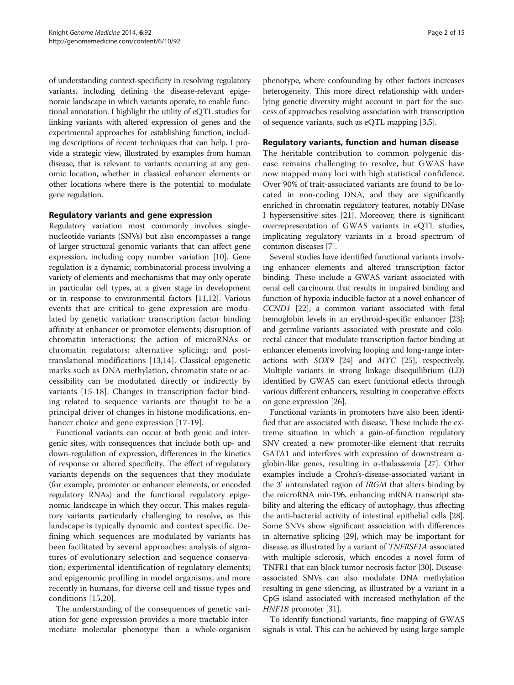of understanding context-specificity in resolving regulatory variants, including defining the disease-relevant epigenomic landscape in which variants operate, to enable functional annotation. I highlight the utility of eQTL studies for linking variants with altered expression of genes and the experimental approaches for establishing function, including descriptions of recent techniques that can help. I provide a strategic view, illustrated by examples from human disease, that is relevant to variants occurring at any genomic location, whether in classical enhancer elements or other locations where there is the potential to modulate gene regulation.

# Regulatory variants and gene expression

Regulatory variation most commonly involves singlenucleotide variants (SNVs) but also encompasses a range of larger structural genomic variants that can affect gene expression, including copy number variation [\[10\]](#page-11-0). Gene regulation is a dynamic, combinatorial process involving a variety of elements and mechanisms that may only operate in particular cell types, at a given stage in development or in response to environmental factors [\[11,12\]](#page-11-0). Various events that are critical to gene expression are modulated by genetic variation: transcription factor binding affinity at enhancer or promoter elements; disruption of chromatin interactions; the action of microRNAs or chromatin regulators; alternative splicing; and posttranslational modifications [[13,14\]](#page-11-0). Classical epigenetic marks such as DNA methylation, chromatin state or accessibility can be modulated directly or indirectly by variants [[15-18\]](#page-11-0). Changes in transcription factor binding related to sequence variants are thought to be a principal driver of changes in histone modifications, en-hancer choice and gene expression [[17-19\]](#page-11-0).

Functional variants can occur at both genic and intergenic sites, with consequences that include both up- and down-regulation of expression, differences in the kinetics of response or altered specificity. The effect of regulatory variants depends on the sequences that they modulate (for example, promoter or enhancer elements, or encoded regulatory RNAs) and the functional regulatory epigenomic landscape in which they occur. This makes regulatory variants particularly challenging to resolve, as this landscape is typically dynamic and context specific. Defining which sequences are modulated by variants has been facilitated by several approaches: analysis of signatures of evolutionary selection and sequence conservation; experimental identification of regulatory elements; and epigenomic profiling in model organisms, and more recently in humans, for diverse cell and tissue types and conditions [\[15](#page-11-0),[20\]](#page-11-0).

The understanding of the consequences of genetic variation for gene expression provides a more tractable intermediate molecular phenotype than a whole-organism

phenotype, where confounding by other factors increases heterogeneity. This more direct relationship with underlying genetic diversity might account in part for the success of approaches resolving association with transcription of sequence variants, such as eQTL mapping [\[3,5](#page-11-0)].

# Regulatory variants, function and human disease

The heritable contribution to common polygenic disease remains challenging to resolve, but GWAS have now mapped many loci with high statistical confidence. Over 90% of trait-associated variants are found to be located in non-coding DNA, and they are significantly enriched in chromatin regulatory features, notably DNase I hypersensitive sites [[21](#page-11-0)]. Moreover, there is significant overrepresentation of GWAS variants in eQTL studies, implicating regulatory variants in a broad spectrum of common diseases [[7](#page-11-0)].

Several studies have identified functional variants involving enhancer elements and altered transcription factor binding. These include a GWAS variant associated with renal cell carcinoma that results in impaired binding and function of hypoxia inducible factor at a novel enhancer of CCND1 [\[22](#page-11-0)]; a common variant associated with fetal hemoglobin levels in an erythroid-specific enhancer [[23](#page-11-0)]; and germline variants associated with prostate and colorectal cancer that modulate transcription factor binding at enhancer elements involving looping and long-range interactions with SOX9 [[24](#page-11-0)] and MYC [[25](#page-11-0)], respectively. Multiple variants in strong linkage disequilibrium (LD) identified by GWAS can exert functional effects through various different enhancers, resulting in cooperative effects on gene expression [[26](#page-11-0)].

Functional variants in promoters have also been identified that are associated with disease. These include the extreme situation in which a gain-of-function regulatory SNV created a new promoter-like element that recruits GATA1 and interferes with expression of downstream αglobin-like genes, resulting in α-thalassemia [\[27\]](#page-11-0). Other examples include a Crohn's-disease-associated variant in the 3' untranslated region of IRGM that alters binding by the microRNA mir-196, enhancing mRNA transcript stability and altering the efficacy of autophagy, thus affecting the anti-bacterial activity of intestinal epithelial cells [[28](#page-11-0)]. Some SNVs show significant association with differences in alternative splicing [[29](#page-11-0)], which may be important for disease, as illustrated by a variant of TNFRSF1A associated with multiple sclerosis, which encodes a novel form of TNFR1 that can block tumor necrosis factor [[30](#page-11-0)]. Diseaseassociated SNVs can also modulate DNA methylation resulting in gene silencing, as illustrated by a variant in a CpG island associated with increased methylation of the HNF1B promoter [[31](#page-11-0)].

To identify functional variants, fine mapping of GWAS signals is vital. This can be achieved by using large sample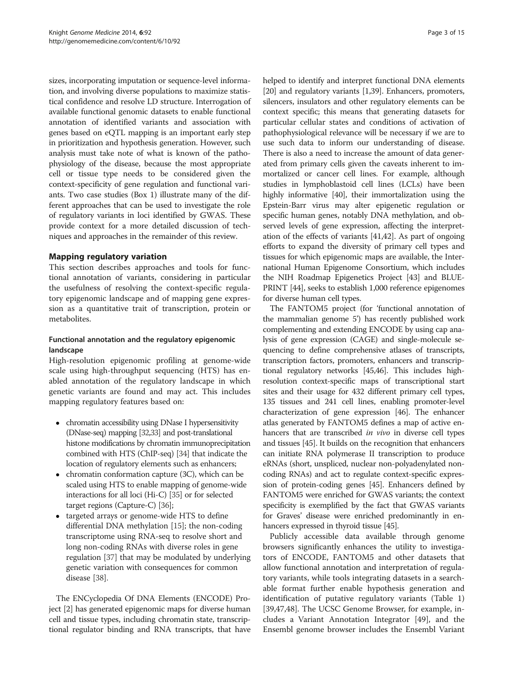sizes, incorporating imputation or sequence-level information, and involving diverse populations to maximize statistical confidence and resolve LD structure. Interrogation of available functional genomic datasets to enable functional annotation of identified variants and association with genes based on eQTL mapping is an important early step in prioritization and hypothesis generation. However, such analysis must take note of what is known of the pathophysiology of the disease, because the most appropriate cell or tissue type needs to be considered given the context-specificity of gene regulation and functional variants. Two case studies (Box 1) illustrate many of the different approaches that can be used to investigate the role of regulatory variants in loci identified by GWAS. These provide context for a more detailed discussion of techniques and approaches in the remainder of this review.

# Mapping regulatory variation

This section describes approaches and tools for functional annotation of variants, considering in particular the usefulness of resolving the context-specific regulatory epigenomic landscape and of mapping gene expression as a quantitative trait of transcription, protein or metabolites.

# Functional annotation and the regulatory epigenomic landscape

High-resolution epigenomic profiling at genome-wide scale using high-throughput sequencing (HTS) has enabled annotation of the regulatory landscape in which genetic variants are found and may act. This includes mapping regulatory features based on:

- chromatin accessibility using DNase I hypersensitivity (DNase-seq) mapping [\[32,33](#page-11-0)] and post-translational histone modifications by chromatin immunoprecipitation combined with HTS (ChIP-seq) [\[34\]](#page-11-0) that indicate the location of regulatory elements such as enhancers;
- chromatin conformation capture (3C), which can be scaled using HTS to enable mapping of genome-wide interactions for all loci (Hi-C) [\[35](#page-11-0)] or for selected target regions (Capture-C) [[36](#page-11-0)];
- targeted arrays or genome-wide HTS to define differential DNA methylation [\[15\]](#page-11-0); the non-coding transcriptome using RNA-seq to resolve short and long non-coding RNAs with diverse roles in gene regulation [\[37\]](#page-12-0) that may be modulated by underlying genetic variation with consequences for common disease [[38](#page-12-0)].

The ENCyclopedia Of DNA Elements (ENCODE) Project [[2](#page-11-0)] has generated epigenomic maps for diverse human cell and tissue types, including chromatin state, transcriptional regulator binding and RNA transcripts, that have

helped to identify and interpret functional DNA elements [[20](#page-11-0)] and regulatory variants [\[1,](#page-10-0)[39](#page-12-0)]. Enhancers, promoters, silencers, insulators and other regulatory elements can be context specific; this means that generating datasets for particular cellular states and conditions of activation of pathophysiological relevance will be necessary if we are to use such data to inform our understanding of disease. There is also a need to increase the amount of data generated from primary cells given the caveats inherent to immortalized or cancer cell lines. For example, although studies in lymphoblastoid cell lines (LCLs) have been highly informative [[40](#page-12-0)], their immortalization using the Epstein-Barr virus may alter epigenetic regulation or specific human genes, notably DNA methylation, and observed levels of gene expression, affecting the interpretation of the effects of variants [\[41,42\]](#page-12-0). As part of ongoing efforts to expand the diversity of primary cell types and tissues for which epigenomic maps are available, the International Human Epigenome Consortium, which includes the NIH Roadmap Epigenetics Project [\[43\]](#page-12-0) and BLUE-PRINT [\[44\]](#page-12-0), seeks to establish 1,000 reference epigenomes for diverse human cell types.

The FANTOM5 project (for 'functional annotation of the mammalian genome 5') has recently published work complementing and extending ENCODE by using cap analysis of gene expression (CAGE) and single-molecule sequencing to define comprehensive atlases of transcripts, transcription factors, promoters, enhancers and transcriptional regulatory networks [\[45,46\]](#page-12-0). This includes highresolution context-specific maps of transcriptional start sites and their usage for 432 different primary cell types, 135 tissues and 241 cell lines, enabling promoter-level characterization of gene expression [[46](#page-12-0)]. The enhancer atlas generated by FANTOM5 defines a map of active enhancers that are transcribed in vivo in diverse cell types and tissues [\[45\]](#page-12-0). It builds on the recognition that enhancers can initiate RNA polymerase II transcription to produce eRNAs (short, unspliced, nuclear non-polyadenylated noncoding RNAs) and act to regulate context-specific expression of protein-coding genes [[45](#page-12-0)]. Enhancers defined by FANTOM5 were enriched for GWAS variants; the context specificity is exemplified by the fact that GWAS variants for Graves' disease were enriched predominantly in enhancers expressed in thyroid tissue [[45](#page-12-0)].

Publicly accessible data available through genome browsers significantly enhances the utility to investigators of ENCODE, FANTOM5 and other datasets that allow functional annotation and interpretation of regulatory variants, while tools integrating datasets in a searchable format further enable hypothesis generation and identification of putative regulatory variants (Table [1](#page-4-0)) [[39,47,48\]](#page-12-0). The UCSC Genome Browser, for example, includes a Variant Annotation Integrator [[49\]](#page-12-0), and the Ensembl genome browser includes the Ensembl Variant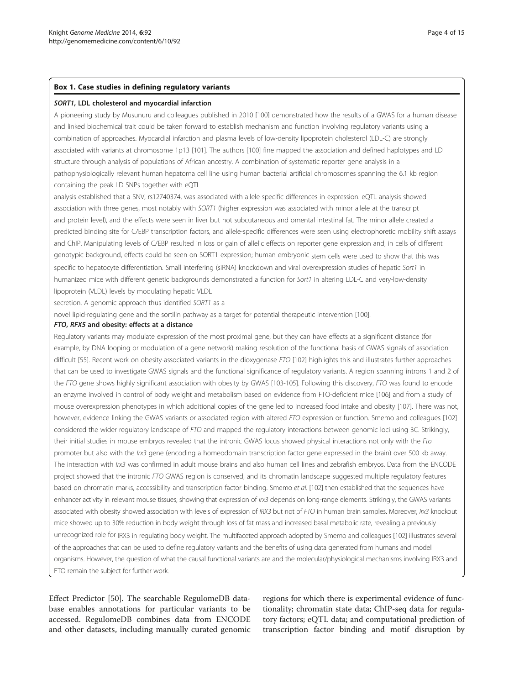#### Box 1. Case studies in defining regulatory variants

#### SORT1, LDL cholesterol and myocardial infarction

A pioneering study by Musunuru and colleagues published in 2010 [\[100](#page-13-0)] demonstrated how the results of a GWAS for a human disease and linked biochemical trait could be taken forward to establish mechanism and function involving regulatory variants using a combination of approaches. Myocardial infarction and plasma levels of low-density lipoprotein cholesterol (LDL-C) are strongly associated with variants at chromosome 1p13 [[101\]](#page-13-0). The authors [\[100](#page-13-0)] fine mapped the association and defined haplotypes and LD structure through analysis of populations of African ancestry. A combination of systematic reporter gene analysis in a pathophysiologically relevant human hepatoma cell line using human bacterial artificial chromosomes spanning the 6.1 kb region containing the peak LD SNPs together with eQTL

analysis established that a SNV, rs12740374, was associated with allele-specific differences in expression. eQTL analysis showed association with three genes, most notably with SORT1 (higher expression was associated with minor allele at the transcript and protein level), and the effects were seen in liver but not subcutaneous and omental intestinal fat. The minor allele created a predicted binding site for C/EBP transcription factors, and allele-specific differences were seen using electrophoretic mobility shift assays and ChIP. Manipulating levels of C/EBP resulted in loss or gain of allelic effects on reporter gene expression and, in cells of different genotypic background, effects could be seen on SORT1 expression; human embryonic stem cells were used to show that this was specific to hepatocyte differentiation. Small interfering (siRNA) knockdown and viral overexpression studies of hepatic Sort1 in humanized mice with different genetic backgrounds demonstrated a function for Sort1 in altering LDL-C and very-low-density lipoprotein (VLDL) levels by modulating hepatic VLDL

secretion. A genomic approach thus identified SORT1 as a

novel lipid-regulating gene and the sortilin pathway as a target for potential therapeutic intervention [[100\]](#page-13-0).

#### FTO, RFX5 and obesity: effects at a distance

Regulatory variants may modulate expression of the most proximal gene, but they can have effects at a significant distance (for example, by DNA looping or modulation of a gene network) making resolution of the functional basis of GWAS signals of association difficult [[55\]](#page-12-0). Recent work on obesity-associated variants in the dioxygenase FTO [\[102](#page-13-0)] highlights this and illustrates further approaches that can be used to investigate GWAS signals and the functional significance of regulatory variants. A region spanning introns 1 and 2 of the FTO gene shows highly significant association with obesity by GWAS [\[103-105](#page-13-0)]. Following this discovery, FTO was found to encode an enzyme involved in control of body weight and metabolism based on evidence from FTO-deficient mice [\[106](#page-14-0)] and from a study of mouse overexpression phenotypes in which additional copies of the gene led to increased food intake and obesity [[107](#page-14-0)]. There was not, however, evidence linking the GWAS variants or associated region with altered FTO expression or function. Smemo and colleagues [[102\]](#page-13-0) considered the wider regulatory landscape of FTO and mapped the regulatory interactions between genomic loci using 3C. Strikingly, their initial studies in mouse embryos revealed that the intronic GWAS locus showed physical interactions not only with the Fto promoter but also with the Irx3 gene (encoding a homeodomain transcription factor gene expressed in the brain) over 500 kb away. The interaction with Irx3 was confirmed in adult mouse brains and also human cell lines and zebrafish embryos. Data from the ENCODE project showed that the intronic FTO GWAS region is conserved, and its chromatin landscape suggested multiple regulatory features based on chromatin marks, accessibility and transcription factor binding. Smemo et al. [[102](#page-13-0)] then established that the sequences have enhancer activity in relevant mouse tissues, showing that expression of Irx3 depends on long-range elements. Strikingly, the GWAS variants associated with obesity showed association with levels of expression of IRX3 but not of FTO in human brain samples. Moreover, Irx3 knockout mice showed up to 30% reduction in body weight through loss of fat mass and increased basal metabolic rate, revealing a previously unrecognized role for IRX3 in regulating body weight. The multifaceted approach adopted by Smemo and colleagues [[102\]](#page-13-0) illustrates several of the approaches that can be used to define regulatory variants and the benefits of using data generated from humans and model organisms. However, the question of what the causal functional variants are and the molecular/physiological mechanisms involving IRX3 and FTO remain the subject for further work.

Effect Predictor [\[50\]](#page-12-0). The searchable RegulomeDB database enables annotations for particular variants to be accessed. RegulomeDB combines data from ENCODE and other datasets, including manually curated genomic regions for which there is experimental evidence of functionality; chromatin state data; ChIP-seq data for regulatory factors; eQTL data; and computational prediction of transcription factor binding and motif disruption by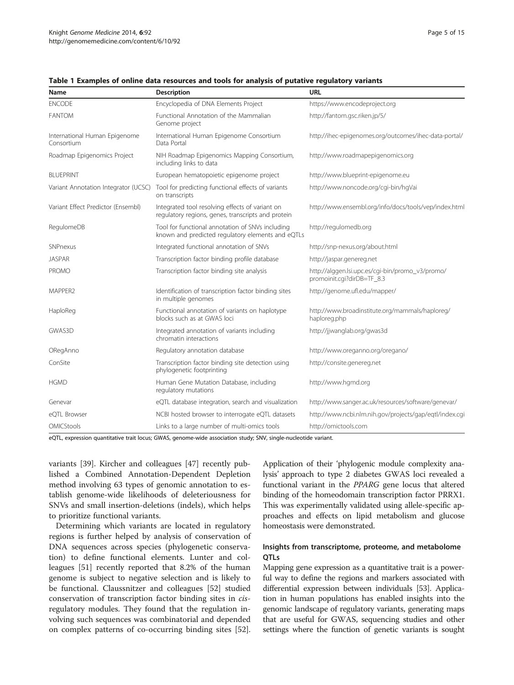| Name                                        | <b>Description</b>                                                                                    | URL                                                                            |
|---------------------------------------------|-------------------------------------------------------------------------------------------------------|--------------------------------------------------------------------------------|
| <b>ENCODE</b>                               | Encyclopedia of DNA Elements Project                                                                  | https://www.encodeproject.org                                                  |
| <b>FANTOM</b>                               | Functional Annotation of the Mammalian<br>Genome project                                              | http://fantom.gsc.riken.jp/5/                                                  |
| International Human Epigenome<br>Consortium | International Human Epigenome Consortium<br>Data Portal                                               | http://ihec-epigenomes.org/outcomes/ihec-data-portal/                          |
| Roadmap Epigenomics Project                 | NIH Roadmap Epigenomics Mapping Consortium,<br>including links to data                                | http://www.roadmapepigenomics.org                                              |
| <b>BLUEPRINT</b>                            | European hematopoietic epigenome project                                                              | http://www.blueprint-epigenome.eu                                              |
| Variant Annotation Integrator (UCSC)        | Tool for predicting functional effects of variants<br>on transcripts                                  | http://www.noncode.org/cgi-bin/hgVai                                           |
| Variant Effect Predictor (Ensembl)          | Integrated tool resolving effects of variant on<br>regulatory regions, genes, transcripts and protein | http://www.ensembl.org/info/docs/tools/vep/index.html                          |
| RegulomeDB                                  | Tool for functional annotation of SNVs including<br>known and predicted regulatory elements and eQTLs | http://regulomedb.org                                                          |
| SNPnexus                                    | Integrated functional annotation of SNVs                                                              | http://snp-nexus.org/about.html                                                |
| <b>JASPAR</b>                               | Transcription factor binding profile database                                                         | http://jaspar.genereg.net                                                      |
| <b>PROMO</b>                                | Transcription factor binding site analysis                                                            | http://alggen.lsi.upc.es/cgi-bin/promo_v3/promo/<br>promoinit.cgi?dirDB=TF_8.3 |
| MAPPER2                                     | Identification of transcription factor binding sites<br>in multiple genomes                           | http://genome.ufl.edu/mapper/                                                  |
| HaploReg                                    | Functional annotation of variants on haplotype<br>blocks such as at GWAS loci                         | http://www.broadinstitute.org/mammals/haploreg/<br>haploreg.php                |
| GWAS3D                                      | Integrated annotation of variants including<br>chromatin interactions                                 | http://jjwanglab.org/gwas3d                                                    |
| ORegAnno                                    | Regulatory annotation database                                                                        | http://www.oreganno.org/oregano/                                               |
| ConSite                                     | Transcription factor binding site detection using<br>phylogenetic footprinting                        | http://consite.genereg.net                                                     |
| <b>HGMD</b>                                 | Human Gene Mutation Database, including<br>regulatory mutations                                       | http://www.hgmd.org                                                            |
| Genevar                                     | eQTL database integration, search and visualization                                                   | http://www.sanger.ac.uk/resources/software/genevar/                            |
| eQTL Browser                                | NCBI hosted browser to interrogate eQTL datasets                                                      | http://www.ncbi.nlm.nih.gov/projects/gap/eqtl/index.cgi                        |
| <b>OMICStools</b>                           | Links to a large number of multi-omics tools                                                          | http://omictools.com                                                           |

<span id="page-4-0"></span>

| Table 1 Examples of online data resources and tools for analysis of putative regulatory variants |  |
|--------------------------------------------------------------------------------------------------|--|
|--------------------------------------------------------------------------------------------------|--|

eQTL, expression quantitative trait locus; GWAS, genome-wide association study; SNV, single-nucleotide variant.

variants [[39\]](#page-12-0). Kircher and colleagues [[47\]](#page-12-0) recently published a Combined Annotation-Dependent Depletion method involving 63 types of genomic annotation to establish genome-wide likelihoods of deleteriousness for SNVs and small insertion-deletions (indels), which helps to prioritize functional variants.

Determining which variants are located in regulatory regions is further helped by analysis of conservation of DNA sequences across species (phylogenetic conservation) to define functional elements. Lunter and colleagues [[51\]](#page-12-0) recently reported that 8.2% of the human genome is subject to negative selection and is likely to be functional. Claussnitzer and colleagues [\[52\]](#page-12-0) studied conservation of transcription factor binding sites in cisregulatory modules. They found that the regulation involving such sequences was combinatorial and depended on complex patterns of co-occurring binding sites [\[52](#page-12-0)].

Application of their 'phylogenic module complexity analysis' approach to type 2 diabetes GWAS loci revealed a functional variant in the PPARG gene locus that altered binding of the homeodomain transcription factor PRRX1. This was experimentally validated using allele-specific approaches and effects on lipid metabolism and glucose homeostasis were demonstrated.

# Insights from transcriptome, proteome, and metabolome QTLs

Mapping gene expression as a quantitative trait is a powerful way to define the regions and markers associated with differential expression between individuals [[53](#page-12-0)]. Application in human populations has enabled insights into the genomic landscape of regulatory variants, generating maps that are useful for GWAS, sequencing studies and other settings where the function of genetic variants is sought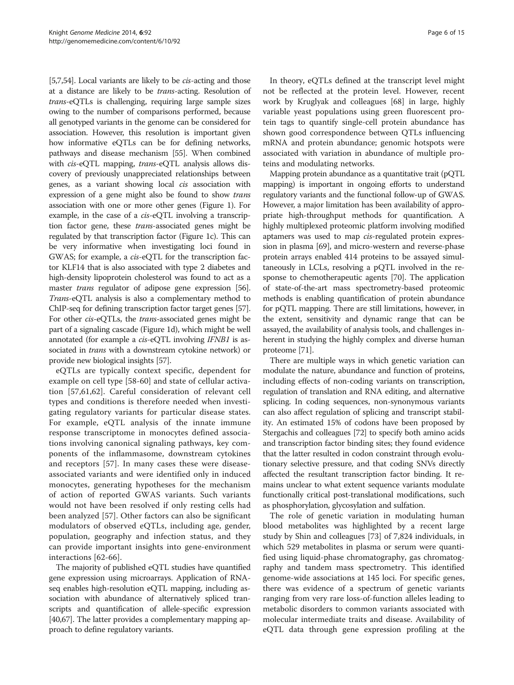[[5,7](#page-11-0)[,54\]](#page-12-0). Local variants are likely to be *cis*-acting and those at a distance are likely to be trans-acting. Resolution of trans-eQTLs is challenging, requiring large sample sizes owing to the number of comparisons performed, because all genotyped variants in the genome can be considered for association. However, this resolution is important given how informative eQTLs can be for defining networks, pathways and disease mechanism [[55](#page-12-0)]. When combined with cis-eQTL mapping, trans-eQTL analysis allows discovery of previously unappreciated relationships between genes, as a variant showing local cis association with expression of a gene might also be found to show trans association with one or more other genes (Figure [1\)](#page-6-0). For example, in the case of a cis-eQTL involving a transcription factor gene, these trans-associated genes might be regulated by that transcription factor (Figure [1](#page-6-0)c). This can be very informative when investigating loci found in GWAS; for example, a cis-eQTL for the transcription factor KLF14 that is also associated with type 2 diabetes and high-density lipoprotein cholesterol was found to act as a master trans regulator of adipose gene expression [\[56](#page-12-0)]. Trans-eQTL analysis is also a complementary method to ChIP-seq for defining transcription factor target genes [\[57](#page-12-0)]. For other cis-eQTLs, the trans-associated genes might be part of a signaling cascade (Figure [1d](#page-6-0)), which might be well annotated (for example a *cis-eQTL* involving *IFNB1* is associated in trans with a downstream cytokine network) or provide new biological insights [\[57](#page-12-0)].

eQTLs are typically context specific, dependent for example on cell type [\[58](#page-12-0)-[60](#page-12-0)] and state of cellular activation [[57,61,62](#page-12-0)]. Careful consideration of relevant cell types and conditions is therefore needed when investigating regulatory variants for particular disease states. For example, eQTL analysis of the innate immune response transcriptome in monocytes defined associations involving canonical signaling pathways, key components of the inflammasome, downstream cytokines and receptors [[57\]](#page-12-0). In many cases these were diseaseassociated variants and were identified only in induced monocytes, generating hypotheses for the mechanism of action of reported GWAS variants. Such variants would not have been resolved if only resting cells had been analyzed [\[57](#page-12-0)]. Other factors can also be significant modulators of observed eQTLs, including age, gender, population, geography and infection status, and they can provide important insights into gene-environment interactions [[62](#page-12-0)-[66\]](#page-12-0).

The majority of published eQTL studies have quantified gene expression using microarrays. Application of RNAseq enables high-resolution eQTL mapping, including association with abundance of alternatively spliced transcripts and quantification of allele-specific expression [[40,67](#page-12-0)]. The latter provides a complementary mapping approach to define regulatory variants.

In theory, eQTLs defined at the transcript level might not be reflected at the protein level. However, recent work by Kruglyak and colleagues [[68\]](#page-12-0) in large, highly variable yeast populations using green fluorescent protein tags to quantify single-cell protein abundance has shown good correspondence between QTLs influencing mRNA and protein abundance; genomic hotspots were associated with variation in abundance of multiple proteins and modulating networks.

Mapping protein abundance as a quantitative trait (pQTL mapping) is important in ongoing efforts to understand regulatory variants and the functional follow-up of GWAS. However, a major limitation has been availability of appropriate high-throughput methods for quantification. A highly multiplexed proteomic platform involving modified aptamers was used to map cis-regulated protein expression in plasma [\[69](#page-13-0)], and micro-western and reverse-phase protein arrays enabled 414 proteins to be assayed simultaneously in LCLs, resolving a pQTL involved in the response to chemotherapeutic agents [\[70\]](#page-13-0). The application of state-of-the-art mass spectrometry-based proteomic methods is enabling quantification of protein abundance for pQTL mapping. There are still limitations, however, in the extent, sensitivity and dynamic range that can be assayed, the availability of analysis tools, and challenges inherent in studying the highly complex and diverse human proteome [[71\]](#page-13-0).

There are multiple ways in which genetic variation can modulate the nature, abundance and function of proteins, including effects of non-coding variants on transcription, regulation of translation and RNA editing, and alternative splicing. In coding sequences, non-synonymous variants can also affect regulation of splicing and transcript stability. An estimated 15% of codons have been proposed by Stergachis and colleagues [\[72](#page-13-0)] to specify both amino acids and transcription factor binding sites; they found evidence that the latter resulted in codon constraint through evolutionary selective pressure, and that coding SNVs directly affected the resultant transcription factor binding. It remains unclear to what extent sequence variants modulate functionally critical post-translational modifications, such as phosphorylation, glycosylation and sulfation.

The role of genetic variation in modulating human blood metabolites was highlighted by a recent large study by Shin and colleagues [\[73](#page-13-0)] of 7,824 individuals, in which 529 metabolites in plasma or serum were quantified using liquid-phase chromatography, gas chromatography and tandem mass spectrometry. This identified genome-wide associations at 145 loci. For specific genes, there was evidence of a spectrum of genetic variants ranging from very rare loss-of-function alleles leading to metabolic disorders to common variants associated with molecular intermediate traits and disease. Availability of eQTL data through gene expression profiling at the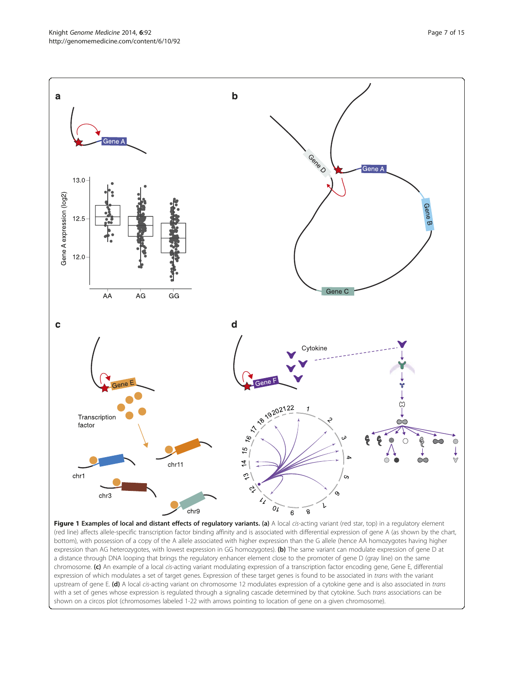<span id="page-6-0"></span>

Figure 1 Examples of local and distant effects of regulatory variants. (a) A local cis-acting variant (red star, top) in a regulatory element (red line) affects allele-specific transcription factor binding affinity and is associated with differential expression of gene A (as shown by the chart, bottom), with possession of a copy of the A allele associated with higher expression than the G allele (hence AA homozygotes having higher expression than AG heterozygotes, with lowest expression in GG homozygotes). (b) The same variant can modulate expression of gene D at a distance through DNA looping that brings the regulatory enhancer element close to the promoter of gene D (gray line) on the same chromosome. (c) An example of a local cis-acting variant modulating expression of a transcription factor encoding gene, Gene E, differential expression of which modulates a set of target genes. Expression of these target genes is found to be associated in trans with the variant upstream of gene E. (d) A local cis-acting variant on chromosome 12 modulates expression of a cytokine gene and is also associated in trans with a set of genes whose expression is regulated through a signaling cascade determined by that cytokine. Such trans associations can be shown on a circos plot (chromosomes labeled 1-22 with arrows pointing to location of gene on a given chromosome).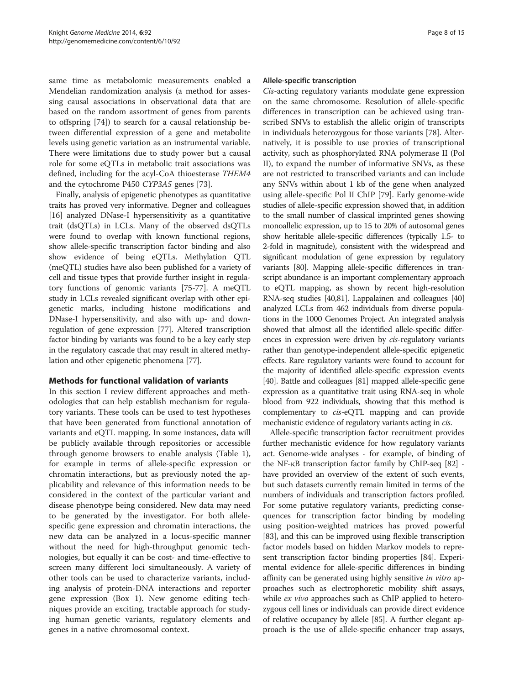same time as metabolomic measurements enabled a Mendelian randomization analysis (a method for assessing causal associations in observational data that are based on the random assortment of genes from parents to offspring [[74\]](#page-13-0)) to search for a causal relationship between differential expression of a gene and metabolite levels using genetic variation as an instrumental variable. There were limitations due to study power but a causal role for some eQTLs in metabolic trait associations was defined, including for the acyl-CoA thioesterase THEM4 and the cytochrome P450 CYP3A5 genes [[73\]](#page-13-0).

Finally, analysis of epigenetic phenotypes as quantitative traits has proved very informative. Degner and colleagues [[16](#page-11-0)] analyzed DNase-I hypersensitivity as a quantitative trait (dsQTLs) in LCLs. Many of the observed dsQTLs were found to overlap with known functional regions, show allele-specific transcription factor binding and also show evidence of being eQTLs. Methylation QTL (meQTL) studies have also been published for a variety of cell and tissue types that provide further insight in regulatory functions of genomic variants [\[75-77\]](#page-13-0). A meQTL study in LCLs revealed significant overlap with other epigenetic marks, including histone modifications and DNase-I hypersensitivity, and also with up- and downregulation of gene expression [\[77\]](#page-13-0). Altered transcription factor binding by variants was found to be a key early step in the regulatory cascade that may result in altered methylation and other epigenetic phenomena [[77](#page-13-0)].

# Methods for functional validation of variants

In this section I review different approaches and methodologies that can help establish mechanism for regulatory variants. These tools can be used to test hypotheses that have been generated from functional annotation of variants and eQTL mapping. In some instances, data will be publicly available through repositories or accessible through genome browsers to enable analysis (Table [1](#page-4-0)), for example in terms of allele-specific expression or chromatin interactions, but as previously noted the applicability and relevance of this information needs to be considered in the context of the particular variant and disease phenotype being considered. New data may need to be generated by the investigator. For both allelespecific gene expression and chromatin interactions, the new data can be analyzed in a locus-specific manner without the need for high-throughput genomic technologies, but equally it can be cost- and time-effective to screen many different loci simultaneously. A variety of other tools can be used to characterize variants, including analysis of protein-DNA interactions and reporter gene expression (Box 1). New genome editing techniques provide an exciting, tractable approach for studying human genetic variants, regulatory elements and genes in a native chromosomal context.

#### Allele-specific transcription

Cis-acting regulatory variants modulate gene expression on the same chromosome. Resolution of allele-specific differences in transcription can be achieved using transcribed SNVs to establish the allelic origin of transcripts in individuals heterozygous for those variants [\[78](#page-13-0)]. Alternatively, it is possible to use proxies of transcriptional activity, such as phosphorylated RNA polymerase II (Pol II), to expand the number of informative SNVs, as these are not restricted to transcribed variants and can include any SNVs within about 1 kb of the gene when analyzed using allele-specific Pol II ChIP [\[79](#page-13-0)]. Early genome-wide studies of allele-specific expression showed that, in addition to the small number of classical imprinted genes showing monoallelic expression, up to 15 to 20% of autosomal genes show heritable allele-specific differences (typically 1.5- to 2-fold in magnitude), consistent with the widespread and significant modulation of gene expression by regulatory variants [\[80\]](#page-13-0). Mapping allele-specific differences in transcript abundance is an important complementary approach to eQTL mapping, as shown by recent high-resolution RNA-seq studies [\[40](#page-12-0)[,81\]](#page-13-0). Lappalainen and colleagues [\[40](#page-12-0)] analyzed LCLs from 462 individuals from diverse populations in the 1000 Genomes Project. An integrated analysis showed that almost all the identified allele-specific differences in expression were driven by cis-regulatory variants rather than genotype-independent allele-specific epigenetic effects. Rare regulatory variants were found to account for the majority of identified allele-specific expression events [[40](#page-12-0)]. Battle and colleagues [[81](#page-13-0)] mapped allele-specific gene expression as a quantitative trait using RNA-seq in whole blood from 922 individuals, showing that this method is complementary to cis-eQTL mapping and can provide mechanistic evidence of regulatory variants acting in cis.

Allele-specific transcription factor recruitment provides further mechanistic evidence for how regulatory variants act. Genome-wide analyses - for example, of binding of the NF-κB transcription factor family by ChIP-seq [\[82](#page-13-0)] have provided an overview of the extent of such events, but such datasets currently remain limited in terms of the numbers of individuals and transcription factors profiled. For some putative regulatory variants, predicting consequences for transcription factor binding by modeling using position-weighted matrices has proved powerful [[83](#page-13-0)], and this can be improved using flexible transcription factor models based on hidden Markov models to represent transcription factor binding properties [\[84](#page-13-0)]. Experimental evidence for allele-specific differences in binding affinity can be generated using highly sensitive in vitro approaches such as electrophoretic mobility shift assays, while *ex vivo* approaches such as ChIP applied to heterozygous cell lines or individuals can provide direct evidence of relative occupancy by allele [[85](#page-13-0)]. A further elegant approach is the use of allele-specific enhancer trap assays,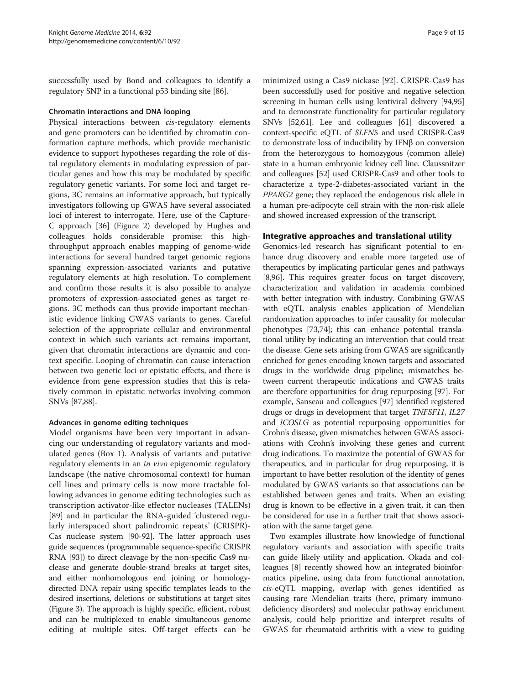successfully used by Bond and colleagues to identify a regulatory SNP in a functional p53 binding site [[86](#page-13-0)].

#### Chromatin interactions and DNA looping

Physical interactions between *cis-regulatory* elements and gene promoters can be identified by chromatin conformation capture methods, which provide mechanistic evidence to support hypotheses regarding the role of distal regulatory elements in modulating expression of particular genes and how this may be modulated by specific regulatory genetic variants. For some loci and target regions, 3C remains an informative approach, but typically investigators following up GWAS have several associated loci of interest to interrogate. Here, use of the Capture-C approach [\[36\]](#page-11-0) (Figure [2\)](#page-9-0) developed by Hughes and colleagues holds considerable promise: this highthroughput approach enables mapping of genome-wide interactions for several hundred target genomic regions spanning expression-associated variants and putative regulatory elements at high resolution. To complement and confirm those results it is also possible to analyze promoters of expression-associated genes as target regions. 3C methods can thus provide important mechanistic evidence linking GWAS variants to genes. Careful selection of the appropriate cellular and environmental context in which such variants act remains important, given that chromatin interactions are dynamic and context specific. Looping of chromatin can cause interaction between two genetic loci or epistatic effects, and there is evidence from gene expression studies that this is relatively common in epistatic networks involving common SNVs [\[87,88](#page-13-0)].

# Advances in genome editing techniques

Model organisms have been very important in advancing our understanding of regulatory variants and modulated genes (Box 1). Analysis of variants and putative regulatory elements in an in vivo epigenomic regulatory landscape (the native chromosomal context) for human cell lines and primary cells is now more tractable following advances in genome editing technologies such as transcription activator-like effector nucleases (TALENs) [[89\]](#page-13-0) and in particular the RNA-guided 'clustered regularly interspaced short palindromic repeats' (CRISPR)- Cas nuclease system [\[90-92\]](#page-13-0). The latter approach uses guide sequences (programmable sequence-specific CRISPR RNA [\[93](#page-13-0)]) to direct cleavage by the non-specific Cas9 nuclease and generate double-strand breaks at target sites, and either nonhomologous end joining or homologydirected DNA repair using specific templates leads to the desired insertions, deletions or substitutions at target sites (Figure [3](#page-9-0)). The approach is highly specific, efficient, robust and can be multiplexed to enable simultaneous genome editing at multiple sites. Off-target effects can be

minimized using a Cas9 nickase [[92](#page-13-0)]. CRISPR-Cas9 has been successfully used for positive and negative selection screening in human cells using lentiviral delivery [\[94,95](#page-13-0)] and to demonstrate functionality for particular regulatory SNVs [\[52,61](#page-12-0)]. Lee and colleagues [[61](#page-12-0)] discovered a context-specific eQTL of SLFN5 and used CRISPR-Cas9 to demonstrate loss of inducibility by IFNβ on conversion from the heterozygous to homozygous (common allele) state in a human embryonic kidney cell line. Claussnitzer and colleagues [[52](#page-12-0)] used CRISPR-Cas9 and other tools to characterize a type-2-diabetes-associated variant in the PPARG2 gene; they replaced the endogenous risk allele in a human pre-adipocyte cell strain with the non-risk allele and showed increased expression of the transcript.

# Integrative approaches and translational utility

Genomics-led research has significant potential to enhance drug discovery and enable more targeted use of therapeutics by implicating particular genes and pathways [[8,](#page-11-0)[96](#page-13-0)]. This requires greater focus on target discovery, characterization and validation in academia combined with better integration with industry. Combining GWAS with eQTL analysis enables application of Mendelian randomization approaches to infer causality for molecular phenotypes [[73,74\]](#page-13-0); this can enhance potential translational utility by indicating an intervention that could treat the disease. Gene sets arising from GWAS are significantly enriched for genes encoding known targets and associated drugs in the worldwide drug pipeline; mismatches between current therapeutic indications and GWAS traits are therefore opportunities for drug repurposing [[97](#page-13-0)]. For example, Sanseau and colleagues [\[97\]](#page-13-0) identified registered drugs or drugs in development that target TNFSF11, IL27 and ICOSLG as potential repurposing opportunities for Crohn's disease, given mismatches between GWAS associations with Crohn's involving these genes and current drug indications. To maximize the potential of GWAS for therapeutics, and in particular for drug repurposing, it is important to have better resolution of the identity of genes modulated by GWAS variants so that associations can be established between genes and traits. When an existing drug is known to be effective in a given trait, it can then be considered for use in a further trait that shows association with the same target gene.

Two examples illustrate how knowledge of functional regulatory variants and association with specific traits can guide likely utility and application. Okada and colleagues [\[8](#page-11-0)] recently showed how an integrated bioinformatics pipeline, using data from functional annotation, cis-eQTL mapping, overlap with genes identified as causing rare Mendelian traits (here, primary immunodeficiency disorders) and molecular pathway enrichment analysis, could help prioritize and interpret results of GWAS for rheumatoid arthritis with a view to guiding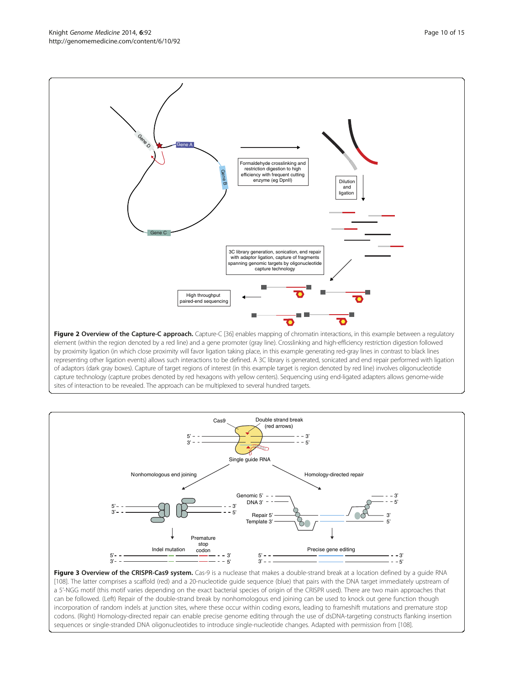<span id="page-9-0"></span>

representing other ligation events) allows such interactions to be defined. A 3C library is generated, sonicated and end repair performed with ligation of adaptors (dark gray boxes). Capture of target regions of interest (in this example target is region denoted by red line) involves oligonucleotide capture technology (capture probes denoted by red hexagons with yellow centers). Sequencing using end-ligated adapters allows genome-wide sites of interaction to be revealed. The approach can be multiplexed to several hundred targets.



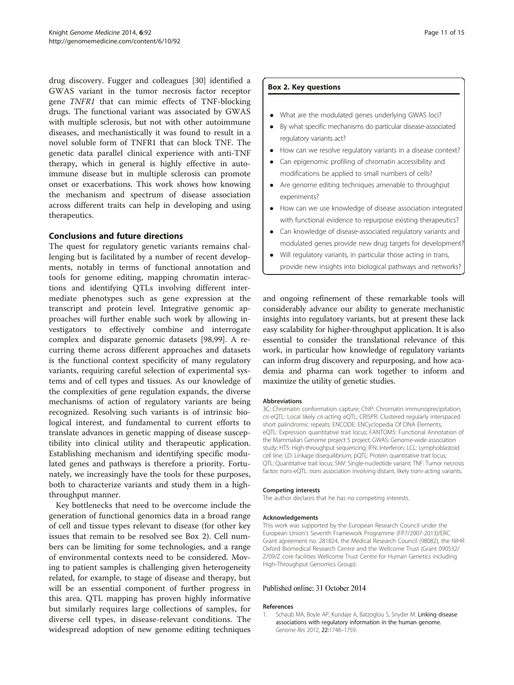<span id="page-10-0"></span>drug discovery. Fugger and colleagues [[30\]](#page-11-0) identified a GWAS variant in the tumor necrosis factor receptor gene TNFR1 that can mimic effects of TNF-blocking drugs. The functional variant was associated by GWAS with multiple sclerosis, but not with other autoimmune diseases, and mechanistically it was found to result in a novel soluble form of TNFR1 that can block TNF. The genetic data parallel clinical experience with anti-TNF therapy, which in general is highly effective in autoimmune disease but in multiple sclerosis can promote onset or exacerbations. This work shows how knowing the mechanism and spectrum of disease association across different traits can help in developing and using therapeutics.

# Conclusions and future directions

The quest for regulatory genetic variants remains challenging but is facilitated by a number of recent developments, notably in terms of functional annotation and tools for genome editing, mapping chromatin interactions and identifying QTLs involving different intermediate phenotypes such as gene expression at the transcript and protein level. Integrative genomic approaches will further enable such work by allowing investigators to effectively combine and interrogate complex and disparate genomic datasets [[98,99\]](#page-13-0). A recurring theme across different approaches and datasets is the functional context specificity of many regulatory variants, requiring careful selection of experimental systems and of cell types and tissues. As our knowledge of the complexities of gene regulation expands, the diverse mechanisms of action of regulatory variants are being recognized. Resolving such variants is of intrinsic biological interest, and fundamental to current efforts to translate advances in genetic mapping of disease susceptibility into clinical utility and therapeutic application. Establishing mechanism and identifying specific modulated genes and pathways is therefore a priority. Fortunately, we increasingly have the tools for these purposes, both to characterize variants and study them in a highthroughput manner.

Key bottlenecks that need to be overcome include the generation of functional genomics data in a broad range of cell and tissue types relevant to disease (for other key issues that remain to be resolved see Box 2). Cell numbers can be limiting for some technologies, and a range of environmental contexts need to be considered. Moving to patient samples is challenging given heterogeneity related, for example, to stage of disease and therapy, but will be an essential component of further progress in this area. QTL mapping has proven highly informative but similarly requires large collections of samples, for diverse cell types, in disease-relevant conditions. The widespread adoption of new genome editing techniques

#### Box 2. Key questions

- What are the modulated genes underlying GWAS loci?
- By what specific mechanisms do particular disease-associated regulatory variants act?
- How can we resolve regulatory variants in a disease context?
- Can epigenomic profiling of chromatin accessibility and modifications be applied to small numbers of cells?
- Are genome editing techniques amenable to throughput experiments?
- How can we use knowledge of disease association integrated with functional evidence to repurpose existing therapeutics?
- Can knowledge of disease-associated regulatory variants and modulated genes provide new drug targets for development?
- Will regulatory variants, in particular those acting in trans, provide new insights into biological pathways and networks?

and ongoing refinement of these remarkable tools will considerably advance our ability to generate mechanistic insights into regulatory variants, but at present these lack easy scalability for higher-throughput application. It is also essential to consider the translational relevance of this work, in particular how knowledge of regulatory variants can inform drug discovery and repurposing, and how academia and pharma can work together to inform and maximize the utility of genetic studies.

#### Abbreviations

3C: Chromatin conformation capture; ChIP: Chromatin immunoprecipitation; cis-eQTL: Local likely cis-acting eQTL; CRISPR: Clustered regularly interspaced short palindromic repeats; ENCODE: ENCyclopedia Of DNA Elements; eQTL: Expression quantitative trait locus; FANTOM5: Functional Annotation of the Mammalian Genome project 5 project; GWAS: Genome-wide association study; HTS: High-throughput sequencing; IFN: Interferon; LCL: Lymphoblastoid cell line; LD: Linkage disequilibrium; pQTL: Protein quantitative trait locus; QTL: Quantitative trait locus; SNV: Single-nucleotide variant; TNF: Tumor necrosis factor; trans-eQTL: trans association involving distant, likely trans-acting variants.

#### Competing interests

The author declares that he has no competing interests.

#### Acknowledgements

This work was supported by the European Research Council under the European Union's Seventh Framework Programme (FP7/2007-2013)/ERC Grant agreement no. 281824, the Medical Research Council (98082), the NIHR Oxford Biomedical Research Centre and the Wellcome Trust (Grant 090532/ Z/09/Z core facilities Wellcome Trust Centre for Human Genetics including High-Throughput Genomics Group).

#### Published online: 31 October 2014

#### References

1. Schaub MA, Boyle AP, Kundaje A, Batzoglou S, Snyder M: Linking disease associations with regulatory information in the human genome. Genome Res 2012, 22:1748–1759.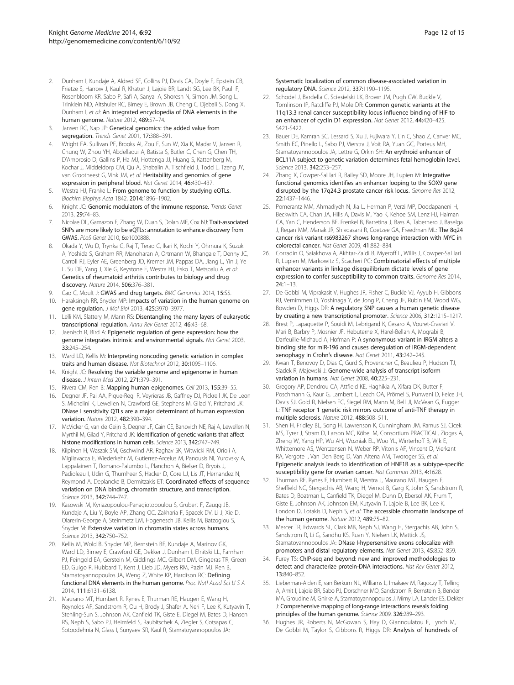- <span id="page-11-0"></span>2. Dunham I, Kundaje A, Aldred SF, Collins PJ, Davis CA, Doyle F, Epstein CB, Frietze S, Harrow J, Kaul R, Khatun J, Lajoie BR, Landt SG, Lee BK, Pauli F, Rosenbloom KR, Sabo P, Safi A, Sanyal A, Shoresh N, Simon JM, Song L, Trinklein ND, Altshuler RC, Birney E, Brown JB, Cheng C, Djebali S, Dong X, Dunham I, et al: An integrated encyclopedia of DNA elements in the human genome. Nature 2012, 489:57–74.
- 3. Jansen RC, Nap JP: Genetical genomics: the added value from segregation. Trends Genet 2001, 17:388-391.
- 4. Wright FA, Sullivan PF, Brooks AI, Zou F, Sun W, Xia K, Madar V, Jansen R, Chung W, Zhou YH, Abdellaoui A, Batista S, Butler C, Chen G, Chen TH, D'Ambrosio D, Gallins P, Ha MJ, Hottenga JJ, Huang S, Kattenberg M, Kochar J, Middeldorp CM, Qu A, Shabalin A, Tischfield J, Todd L, Tzeng JY, van Grootheest G, Vink JM, et al: Heritability and genomics of gene expression in peripheral blood. Nat Genet 2014, 46:430–437.
- 5. Westra HJ, Franke L: From genome to function by studying eQTLs. Biochim Biophys Acta 1842, 2014:1896–1902.
- 6. Knight JC: Genomic modulators of the immune response. Trends Genet 2013, 29:74–83.
- 7. Nicolae DL, Gamazon E, Zhang W, Duan S, Dolan ME, Cox NJ: Trait-associated SNPs are more likely to be eQTLs: annotation to enhance discovery from GWAS. PLoS Genet 2010, 6:e1000888.
- 8. Okada Y, Wu D, Trynka G, Raj T, Terao C, Ikari K, Kochi Y, Ohmura K, Suzuki A, Yoshida S, Graham RR, Manoharan A, Ortmann W, Bhangale T, Denny JC, Carroll RJ, Eyler AE, Greenberg JD, Kremer JM, Pappas DA, Jiang L, Yin J, Ye L, Su DF, Yang J, Xie G, Keystone E, Westra HJ, Esko T, Metspalu A, et al: Genetics of rheumatoid arthritis contributes to biology and drug discovery. Nature 2014, 506:376–381.
- 9. Cao C, Moult J: GWAS and drug targets. BMC Genomics 2014, 15:S5.
- 10. Haraksingh RR, Snyder MP: Impacts of variation in the human genome on gene regulation. J Mol Biol 2013, 425:3970–3977.
- 11. Lelli KM, Slattery M, Mann RS: Disentangling the many layers of eukaryotic transcriptional regulation. Annu Rev Genet 2012, 46:43–68.
- 12. Jaenisch R, Bird A: Epigenetic regulation of gene expression: how the genome integrates intrinsic and environmental signals. Nat Genet 2003, 33:245–254.
- 13. Ward LD, Kellis M: Interpreting noncoding genetic variation in complex traits and human disease. Nat Biotechnol 2012, 30:1095–1106.
- 14. Knight JC: Resolving the variable genome and epigenome in human disease. J Intern Med 2012, 271:379–391.
- 15. Rivera CM, Ren B: Mapping human epigenomes. Cell 2013, 155:39-55.
- 16. Degner JF, Pai AA, Pique-Regi R, Veyrieras JB, Gaffney DJ, Pickrell JK, De Leon S, Michelini K, Lewellen N, Crawford GE, Stephens M, Gilad Y, Pritchard JK: DNase I sensitivity QTLs are a major determinant of human expression variation. Nature 2012, 482:390–394.
- 17. McVicker G, van de Geijn B, Degner JF, Cain CE, Banovich NE, Raj A, Lewellen N, Myrthil M, Gilad Y, Pritchard JK: Identification of genetic variants that affect histone modifications in human cells. Science 2013, 342:747-749.
- 18. Kilpinen H, Waszak SM, Gschwind AR, Raghav SK, Witwicki RM, Orioli A, Migliavacca E, Wiederkehr M, Gutierrez-Arcelus M, Panousis NI, Yurovsky A, Lappalainen T, Romano-Palumbo L, Planchon A, Bielser D, Bryois J, Padioleau I, Udin G, Thurnheer S, Hacker D, Core LJ, Lis JT, Hernandez N, Reymond A, Deplancke B, Dermitzakis ET: Coordinated effects of sequence variation on DNA binding, chromatin structure, and transcription. Science 2013, 342:744–747.
- 19. Kasowski M, Kyriazopoulou-Panagiotopoulou S, Grubert F, Zaugg JB, Kundaje A, Liu Y, Boyle AP, Zhang QC, Zakharia F, Spacek DV, Li J, Xie D, Olarerin-George A, Steinmetz LM, Hogenesch JB, Kellis M, Batzoglou S, Snyder M: Extensive variation in chromatin states across humans. Science 2013, 342:750–752.
- 20. Kellis M, Wold B, Snyder MP, Bernstein BE, Kundaje A, Marinov GK, Ward LD, Birney E, Crawford GE, Dekker J, Dunham I, Elnitski LL, Farnham PJ, Feingold EA, Gerstein M, Giddings MC, Gilbert DM, Gingeras TR, Green ED, Guigo R, Hubbard T, Kent J, Lieb JD, Myers RM, Pazin MJ, Ren B, Stamatoyannopoulos JA, Weng Z, White KP, Hardison RC: Defining functional DNA elements in the human genome. Proc Natl Acad Sci U S A 2014, 111:6131–6138.
- 21. Maurano MT, Humbert R, Rynes E, Thurman RE, Haugen E, Wang H, Reynolds AP, Sandstrom R, Qu H, Brody J, Shafer A, Neri F, Lee K, Kutyavin T, Stehling-Sun S, Johnson AK, Canfield TK, Giste E, Diegel M, Bates D, Hansen RS, Neph S, Sabo PJ, Heimfeld S, Raubitschek A, Ziegler S, Cotsapas C, Sotoodehnia N, Glass I, Sunyaev SR, Kaul R, Stamatoyannopoulos JA:

Systematic localization of common disease-associated variation in regulatory DNA. Science 2012, 337:1190–1195.

- 22. Schodel J, Bardella C, Sciesielski LK, Brown JM, Pugh CW, Buckle V, Tomlinson IP, Ratcliffe PJ, Mole DR: Common genetic variants at the 11q13.3 renal cancer susceptibility locus influence binding of HIF to an enhancer of cyclin D1 expression. Nat Genet 2012, 44:420–425. S421-S422.
- 23. Bauer DE, Kamran SC, Lessard S, Xu J, Fujiwara Y, Lin C, Shao Z, Canver MC, Smith EC, Pinello L, Sabo PJ, Vierstra J, Voit RA, Yuan GC, Porteus MH, Stamatoyannopoulos JA, Lettre G, Orkin SH: An erythroid enhancer of BCL11A subject to genetic variation determines fetal hemoglobin level. Science 2013, 342:253–257.
- 24. Zhang X, Cowper-Sal lari R, Bailey SD, Moore JH, Lupien M: Integrative functional genomics identifies an enhancer looping to the SOX9 gene disrupted by the 17q24.3 prostate cancer risk locus. Genome Res 2012, 22:1437–1446.
- 25. Pomerantz MM, Ahmadiyeh N, Jia L, Herman P, Verzi MP, Doddapaneni H, Beckwith CA, Chan JA, Hills A, Davis M, Yao K, Kehoe SM, Lenz HJ, Haiman CA, Yan C, Henderson BE, Frenkel B, Barretina J, Bass A, Tabernero J, Baselga J, Regan MM, Manak JR, Shivdasani R, Coetzee GA, Freedman ML: The 8q24 cancer risk variant rs6983267 shows long-range interaction with MYC in colorectal cancer. Nat Genet 2009, 41:882–884.
- 26. Corradin O, Saiakhova A, Akhtar-Zaidi B, Myeroff L, Willis J, Cowper-Sal lari R, Lupien M, Markowitz S, Scacheri PC: Combinatorial effects of multiple enhancer variants in linkage disequilibrium dictate levels of gene expression to confer susceptibility to common traits. Genome Res 2014, 24:1–13.
- 27. De Gobbi M, Viprakasit V, Hughes JR, Fisher C, Buckle VJ, Ayyub H, Gibbons RJ, Vernimmen D, Yoshinaga Y, de Jong P, Cheng JF, Rubin EM, Wood WG, Bowden D, Higgs DR: A regulatory SNP causes a human genetic disease by creating a new transcriptional promoter. Science 2006, 312:1215–1217.
- Brest P, Lapaquette P, Souidi M, Lebrigand K, Cesaro A, Vouret-Craviari V, Mari B, Barbry P, Mosnier JF, Hebuterne X, Harel-Bellan A, Mograbi B, Darfeuille-Michaud A, Hofman P: A synonymous variant in IRGM alters a binding site for miR-196 and causes deregulation of IRGM-dependent xenophagy in Crohn's disease. Nat Genet 2011, 43:242–245.
- 29. Kwan T, Benovoy D, Dias C, Gurd S, Provencher C, Beaulieu P, Hudson TJ, Sladek R, Majewski J: Genome-wide analysis of transcript isoform variation in humans. Nat Genet 2008, 40:225–231.
- 30. Gregory AP, Dendrou CA, Attfield KE, Haghikia A, Xifara DK, Butter F, Poschmann G, Kaur G, Lambert L, Leach OA, Prömel S, Punwani D, Felce JH, Davis SJ, Gold R, Nielsen FC, Siegel RM, Mann M, Bell JI, McVean G, Fugger L: TNF receptor 1 genetic risk mirrors outcome of anti-TNF therapy in multiple sclerosis. Nature 2012, 488:508–511.
- 31. Shen H, Fridley BL, Song H, Lawrenson K, Cunningham JM, Ramus SJ, Cicek MS, Tyrer J, Stram D, Larson MC, Köbel M, Consortium PRACTICAL, Ziogas A, Zheng W, Yang HP, Wu AH, Wozniak EL, Woo YL, Winterhoff B, Wik E, Whittemore AS, Wentzensen N, Weber RP, Vitonis AF, Vincent D, Vierkant RA, Vergote I, Van Den Berg D, Van Altena AM, Tworoger SS, et al: Epigenetic analysis leads to identification of HNF1B as a subtype-specific susceptibility gene for ovarian cancer. Nat Commun 2013, 4:1628.
- 32. Thurman RE, Rynes E, Humbert R, Vierstra J, Maurano MT, Haugen E, Sheffield NC, Stergachis AB, Wang H, Vernot B, Garg K, John S, Sandstrom R, Bates D, Boatman L, Canfield TK, Diegel M, Dunn D, Ebersol AK, Frum T, Giste E, Johnson AK, Johnson EM, Kutyavin T, Lajoie B, Lee BK, Lee K, London D, Lotakis D, Neph S, et al: The accessible chromatin landscape of the human genome. Nature 2012, 489:75–82.
- 33. Mercer TR, Edwards SL, Clark MB, Neph SJ, Wang H, Stergachis AB, John S, Sandstrom R, Li G, Sandhu KS, Ruan Y, Nielsen LK, Mattick JS, Stamatoyannopoulos JA: DNase I-hypersensitive exons colocalize with promoters and distal regulatory elements. Nat Genet 2013, 45:852–859.
- 34. Furey TS: ChIP-seq and beyond: new and improved methodologies to detect and characterize protein-DNA interactions. Nat Rev Genet 2012, 13:840–852.
- 35. Lieberman-Aiden E, van Berkum NL, Williams L, Imakaev M, Ragoczy T, Telling A, Amit I, Lajoie BR, Sabo PJ, Dorschner MO, Sandstrom R, Bernstein B, Bender MA, Groudine M, Gnirke A, Stamatoyannopoulos J, Mirny LA, Lander ES, Dekker J: Comprehensive mapping of long-range interactions reveals folding principles of the human genome. Science 2009, 326:289–293.
- 36. Hughes JR, Roberts N, McGowan S, Hay D, Giannoulatou E, Lynch M, De Gobbi M, Taylor S, Gibbons R, Higgs DR: Analysis of hundreds of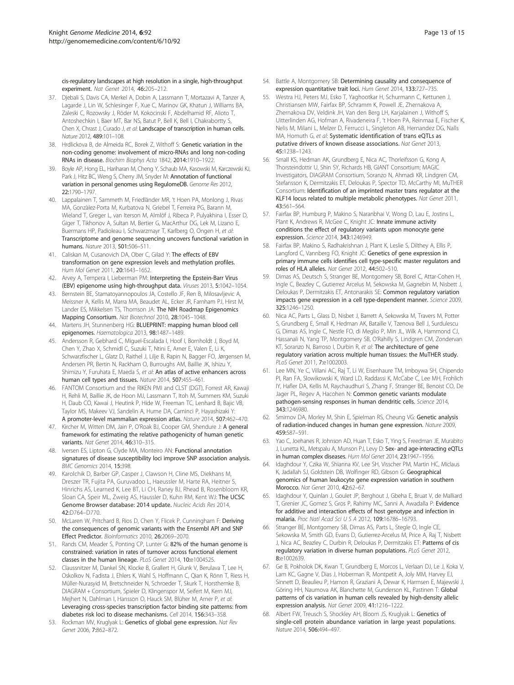<span id="page-12-0"></span>cis-regulatory landscapes at high resolution in a single, high-throughput experiment. Nat Genet 2014, 46:205–212.

- 37. Djebali S, Davis CA, Merkel A, Dobin A, Lassmann T, Mortazavi A, Tanzer A, Lagarde J, Lin W, Schlesinger F, Xue C, Marinov GK, Khatun J, Williams BA, Zaleski C, Rozowsky J, Röder M, Kokocinski F, Abdelhamid RF, Alioto T, Antoshechkin I, Baer MT, Bar NS, Batut P, Bell K, Bell I, Chakrabortty S, Chen X, Chrast J, Curado J, et al: Landscape of transcription in human cells. Nature 2012, 489:101–108.
- 38. Hrdlickova B, de Almeida RC, Borek Z, Withoff S: Genetic variation in the non-coding genome: involvement of micro-RNAs and long non-coding RNAs in disease. Biochim Biophys Acta 1842, 2014:1910–1922.
- 39. Boyle AP, Hong EL, Hariharan M, Cheng Y, Schaub MA, Kasowski M, Karczewski KJ, Park J, Hitz BC, Weng S, Cherry JM, Snyder M: Annotation of functional variation in personal genomes using RegulomeDB. Genome Res 2012, 22:1790–1797.
- 40. Lappalainen T, Sammeth M, Friedländer MR, 't Hoen PA, Monlong J, Rivas MA, Gonzàlez-Porta M, Kurbatova N, Griebel T, Ferreira PG, Barann M, Wieland T, Greger L, van Iterson M, Almlöf J, Ribeca P, Pulyakhina I, Esser D, Giger T, Tikhonov A, Sultan M, Bertier G, MacArthur DG, Lek M, Lizano E, Buermans HP, Padioleau I, Schwarzmayr T, Karlberg O, Ongen H, et al: Transcriptome and genome sequencing uncovers functional variation in humans. Nature 2013, 501:506–511.
- 41. Caliskan M, Cusanovich DA, Ober C, Gilad Y: The effects of EBV transformation on gene expression levels and methylation profiles. Hum Mol Genet 2011, 20:1643–1652.
- 42. Arvey A, Tempera I, Lieberman PM: Interpreting the Epstein-Barr Virus (EBV) epigenome using high-throughput data. Viruses 2013, 5:1042–1054.
- 43. Bernstein BE, Stamatoyannopoulos JA, Costello JF, Ren B, Milosavljevic A, Meissner A, Kellis M, Marra MA, Beaudet AL, Ecker JR, Farnham PJ, Hirst M, Lander ES, Mikkelsen TS, Thomson JA: The NIH Roadmap Epigenomics Mapping Consortium. Nat Biotechnol 2010, 28:1045–1048.
- 44. Martens JH, Stunnenberg HG: BLUEPRINT: mapping human blood cell epigenomes. Haematologica 2013, 98:1487–1489.
- 45. Andersson R, Gebhard C, Miguel-Escalada I, Hoof I, Bornholdt J, Boyd M, Chen Y, Zhao X, Schmidl C, Suzuki T, Ntini E, Arner E, Valen E, Li K, Schwarzfischer L, Glatz D, Raithel J, Lilje B, Rapin N, Bagger FO, Jørgensen M, Andersen PR, Bertin N, Rackham O, Burroughs AM, Baillie JK, Ishizu Y, Shimizu Y, Furuhata E, Maeda S, et al: An atlas of active enhancers across human cell types and tissues. Nature 2014, 507:455–461.
- 46. FANTOM Consortium and the RIKEN PMI and CLST (DGT), Forrest AR, Kawaji H, Rehli M, Baillie JK, de Hoon MJ, Lassmann T, Itoh M, Summers KM, Suzuki H, Daub CO, Kawai J, Heutink P, Hide W, Freeman TC, Lenhard B, Bajic VB, Taylor MS, Makeev VJ, Sandelin A, Hume DA, Carninci P, Hayashizaki Y: A promoter-level mammalian expression atlas. Nature 2014, 507:462–470.
- 47. Kircher M, Witten DM, Jain P, O'Roak BJ, Cooper GM, Shendure J: A general framework for estimating the relative pathogenicity of human genetic variants. Nat Genet 2014, 46:310-315.
- 48. Iversen ES, Lipton G, Clyde MA, Monteiro AN: Functional annotation signatures of disease susceptibility loci improve SNP association analysis. BMC Genomics 2014, 15:398.
- 49. Karolchik D, Barber GP, Casper J, Clawson H, Cline MS, Diekhans M, Dreszer TR, Fujita PA, Guruvadoo L, Haeussler M, Harte RA, Heitner S, Hinrichs AS, Learned K, Lee BT, Li CH, Raney BJ, Rhead B, Rosenbloom KR, Sloan CA, Speir ML, Zweig AS, Haussler D, Kuhn RM, Kent WJ: The UCSC Genome Browser database: 2014 update. Nucleic Acids Res 2014, 42:D764–D770.
- 50. McLaren W, Pritchard B, Rios D, Chen Y, Flicek P, Cunningham F: Deriving the consequences of genomic variants with the Ensembl API and SNP Effect Predictor. Bioinformatics 2010, 26:2069–2070.
- 51. Rands CM, Meader S, Ponting CP, Lunter G: 82% of the human genome is constrained: variation in rates of turnover across functional element classes in the human lineage. PLoS Genet 2014, 10:e1004525.
- 52. Claussnitzer M, Dankel SN, Klocke B, Grallert H, Glunk V, Berulava T, Lee H, Oskolkov N, Fadista J, Ehlers K, Wahl S, Hoffmann C, Qian K, Rönn T, Riess H, Müller-Nurasyid M, Bretschneider N, Schroeder T, Skurk T, Horsthemke B, DIAGRAM + Consortium, Spieler D, Klingenspor M, Seifert M, Kern MJ, Mejhert N, Dahlman I, Hansson O, Hauck SM, Blüher M, Arner P, et al: Leveraging cross-species transcription factor binding site patterns: from diabetes risk loci to disease mechanisms. Cell 2014, 156:343–358.
- 53. Rockman MV, Kruglyak L: Genetics of global gene expression. Nat Rev Genet 2006, 7:862–872.
- 54. Battle A, Montgomery SB: Determining causality and consequence of expression quantitative trait loci. Hum Genet 2014, 133:727–735.
- 55. Westra HJ, Peters MJ, Esko T, Yaghootkar H, Schurmann C, Kettunen J, Christiansen MW, Fairfax BP, Schramm K, Powell JE, Zhernakova A, Zhernakova DV, Veldink JH, Van den Berg LH, Karjalainen J, Withoff S, Uitterlinden AG, Hofman A, Rivadeneira F, 't Hoen PA, Reinmaa E, Fischer K, Nelis M, Milani L, Melzer D, Ferrucci L, Singleton AB, Hernandez DG, Nalls MA, Homuth G, et al: Systematic identification of trans eQTLs as putative drivers of known disease associations. Nat Genet 2013, 45:1238–1243.
- 56. Small KS, Hedman AK, Grundberg E, Nica AC, Thorleifsson G, Kong A, Thorsteindottir U, Shin SY, Richards HB, GIANT Consortium; MAGIC Investigators, DIAGRAM Consortium, Soranzo N, Ahmadi KR, Lindgren CM, Stefansson K, Dermitzakis ET, Deloukas P, Spector TD, McCarthy MI, MuTHER Consortium: Identification of an imprinted master trans regulator at the KLF14 locus related to multiple metabolic phenotypes. Nat Genet 2011, 43:561–564.
- 57. Fairfax BP, Humburg P, Makino S, Naranbhai V, Wong D, Lau E, Jostins L, Plant K, Andrews R, McGee C, Knight JC: Innate immune activity conditions the effect of regulatory variants upon monocyte gene expression. Science 2014, 343:1246949.
- 58. Fairfax BP, Makino S, Radhakrishnan J, Plant K, Leslie S, Dilthey A, Ellis P, Langford C, Vannberg FO, Knight JC: Genetics of gene expression in primary immune cells identifies cell type-specific master regulators and roles of HLA alleles. Nat Genet 2012, 44:502–510.
- 59. Dimas AS, Deutsch S, Stranger BE, Montgomery SB, Borel C, Attar-Cohen H, Ingle C, Beazley C, Gutierrez Arcelus M, Sekowska M, Gagnebin M, Nisbett J, Deloukas P, Dermitzakis ET, Antonarakis SE: Common regulatory variation impacts gene expression in a cell type-dependent manner. Science 2009, 325:1246–1250.
- 60. Nica AC, Parts L, Glass D, Nisbet J, Barrett A, Sekowska M, Travers M, Potter S, Grundberg E, Small K, Hedman AK, Bataille V, Tzenova Bell J, Surdulescu G, Dimas AS, Ingle C, Nestle FO, di Meglio P, Min JL, Wilk A, Hammond CJ, Hassanali N, Yang TP, Montgomery SB, O'Rahilly S, Lindgren CM, Zondervan KT, Soranzo N, Barroso I, Durbin R, et al: The architecture of gene regulatory variation across multiple human tissues: the MuTHER study. PLoS Genet 2011, 7:e1002003.
- 61. Lee MN, Ye C, Villani AC, Raj T, Li W, Eisenhaure TM, Imboywa SH, Chipendo PI, Ran FA, Slowikowski K, Ward LD, Raddassi K, McCabe C, Lee MH, Frohlich IY, Hafler DA, Kellis M, Raychaudhuri S, Zhang F, Stranger BE, Benoist CO, De Jager PL, Regev A, Hacohen N: Common genetic variants modulate pathogen-sensing responses in human dendritic cells. Science 2014, 343:1246980.
- 62. Smirnov DA, Morley M, Shin E, Spielman RS, Cheung VG: Genetic analysis of radiation-induced changes in human gene expression. Nature 2009, 459:587–591.
- 63. Yao C, Joehanes R, Johnson AD, Huan T, Esko T, Ying S, Freedman JE, Murabito J, Lunetta KL, Metspalu A, Munson PJ, Levy D: Sex- and age-interacting eQTLs in human complex diseases. Hum Mol Genet 2014, 23:1947–1956.
- 64. Idaghdour Y, Czika W, Shianna KV, Lee SH, Visscher PM, Martin HC, Miclaus K, Jadallah SJ, Goldstein DB, Wolfinger RD, Gibson G: Geographical genomics of human leukocyte gene expression variation in southern Morocco. Nat Genet 2010, 42:62–67.
- 65. Idaghdour Y, Quinlan J, Goulet JP, Berghout J, Gbeha E, Bruat V, de Malliard T, Grenier JC, Gomez S, Gros P, Rahimy MC, Sanni A, Awadalla P: Evidence for additive and interaction effects of host genotype and infection in malaria. Proc Natl Acad Sci U S A 2012, 109:16786–16793.
- 66. Stranger BE, Montgomery SB, Dimas AS, Parts L, Stegle O, Ingle CE, Sekowska M, Smith GD, Evans D, Gutierrez-Arcelus M, Price A, Raj T, Nisbett J, Nica AC, Beazley C, Durbin R, Deloukas P, Dermitzakis ET: Patterns of cis regulatory variation in diverse human populations. PLoS Genet 2012, 8:e1002639.
- 67. Ge B, Pokholok DK, Kwan T, Grundberg E, Morcos L, Verlaan DJ, Le J, Koka V, Lam KC, Gagne V, Dias J, Hoberman R, Montpetit A, Joly MM, Harvey EJ, Sinnett D, Beaulieu P, Hamon R, Graziani A, Dewar K, Harmsen E, Majewski J, Göring HH, Naumova AK, Blanchette M, Gunderson KL, Pastinen T: Global patterns of cis variation in human cells revealed by high-density allelic expression analysis. Nat Genet 2009, 41:1216–1222.
- 68. Albert FW, Treusch S, Shockley AH, Bloom JS, Kruglyak L: Genetics of single-cell protein abundance variation in large yeast populations. Nature 2014, 506:494–497.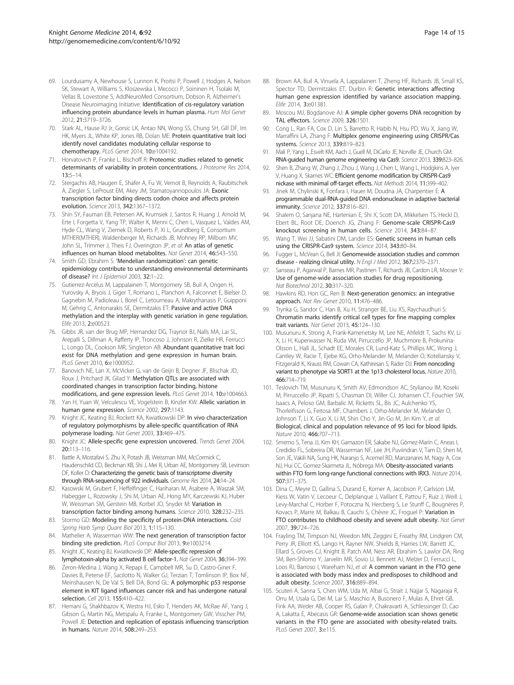- <span id="page-13-0"></span>69. Lourdusamy A, Newhouse S, Lunnon K, Proitsi P, Powell J, Hodges A, Nelson SK, Stewart A, Williams S, Kloszewska I, Mecocci P, Soininen H, Tsolaki M, Vellas B, Lovestone S, AddNeuroMed Consortium, Dobson R, Alzheimer's Disease Neuroimaging Initiative: Identification of cis-regulatory variation influencing protein abundance levels in human plasma. Hum Mol Genet 2012, 21:3719–3726.
- 70. Stark AL, Hause RJ Jr, Gorsic LK, Antao NN, Wong SS, Chung SH, Gill DF, Im HK, Myers JL, White KP, Jones RB, Dolan ME: Protein quantitative trait loci identify novel candidates modulating cellular response to chemotherapy. PLoS Genet 2014, 10:e1004192.
- 71. Horvatovich P, Franke L, Bischoff R: Proteomic studies related to genetic determinants of variability in protein concentrations. J Proteome Res 2014, 13:5–14.
- 72. Stergachis AB, Haugen E, Shafer A, Fu W, Vernot B, Reynolds A, Raubitschek A, Ziegler S, LeProust EM, Akey JM, Stamatoyannopoulos JA: Exonic transcription factor binding directs codon choice and affects protein evolution. Science 2013, 342:1367–1372.
- 73. Shin SY, Fauman EB, Petersen AK, Krumsiek J, Santos R, Huang J, Arnold M, Erte I, Forgetta V, Yang TP, Walter K, Menni C, Chen L, Vasquez L, Valdes AM, Hyde CL, Wang V, Ziemek D, Roberts P, Xi L, Grundberg E, Consortium MTHER(MTHER), Waldenberger M, Richards JB, Mohney RP, Milburn MV, John SL, Trimmer J, Theis FJ, Overington JP, et al: An atlas of genetic influences on human blood metabolites. Nat Genet 2014, 46:543–550.
- 74. Smith GD, Ebrahim S: 'Mendelian randomization': can genetic epidemiology contribute to understanding environmental determinants of disease? Int J Epidemiol 2003, 32:1–22.
- 75. Gutierrez-Arcelus M, Lappalainen T, Montgomery SB, Buil A, Ongen H, Yurovsky A, Bryois J, Giger T, Romano L, Planchon A, Falconnet E, Bielser D, Gagnebin M, Padioleau I, Borel C, Letourneau A, Makrythanasis P, Guipponi M, Gehrig C, Antonarakis SE, Dermitzakis ET: Passive and active DNA methylation and the interplay with genetic variation in gene regulation. Elife 2013, 2:e00523.
- 76. Gibbs JR, van der Brug MP, Hernandez DG, Traynor BJ, Nalls MA, Lai SL, Arepalli S, Dillman A, Rafferty IP, Troncoso J, Johnson R, Zielke HR, Ferrucci L, Longo DL, Cookson MR, Singleton AB: Abundant quantitative trait loci exist for DNA methylation and gene expression in human brain. PLoS Genet 2010, 6:e1000952.
- 77. Banovich NE, Lan X, McVicker G, van de Geijn B, Degner JF, Blischak JD, Roux J, Pritchard JK, Gilad Y: Methylation QTLs are associated with coordinated changes in transcription factor binding, histone modifications, and gene expression levels. PLoS Genet 2014, 10:e1004663.
- 78. Yan H, Yuan W, Velculescu VE, Vogelstein B, Kinzler KW: Allelic variation in human gene expression. Science 2002, 297:1143.
- 79. Knight JC, Keating BJ, Rockett KA, Kwiatkowski DP: In vivo characterization of regulatory polymorphisms by allele-specific quantification of RNA polymerase loading. Nat Genet 2003, 33:469–475.
- 80. Knight JC: Allele-specific gene expression uncovered. Trends Genet 2004, 20:113–116.
- 81. Battle A, Mostafavi S, Zhu X, Potash JB, Weissman MM, McCormick C, Haudenschild CD, Beckman KB, Shi J, Mei R, Urban AE, Montgomery SB, Levinson DF, Koller D: Characterizing the genetic basis of transcriptome diversity through RNA-sequencing of 922 individuals. Genome Res 2014, 24:14–24.
- 82. Kasowski M, Grubert F, Heffelfinger C, Hariharan M, Asabere A, Waszak SM, Habegger L, Rozowsky J, Shi M, Urban AE, Hong MY, Karczewski KJ, Huber W, Weissman SM, Gerstein MB, Korbel JO, Snyder M: Variation in transcription factor binding among humans. Science 2010, 328:232–235.
- 83. Stormo GD: Modeling the specificity of protein-DNA interactions. Cold Spring Harb Symp Quant Biol 2013, 1:115–130.
- 84. Mathelier A, Wasserman WW: The next generation of transcription factor binding site prediction. PLoS Comput Biol 2013, 9:e1003214.
- 85. Knight JC, Keating BJ, Kwiatkowski DP: Allele-specific repression of lymphotoxin-alpha by activated B cell factor-1. Nat Genet 2004, 36:394–399.
- 86. Zeron-Medina J, Wang X, Repapi E, Campbell MR, Su D, Castro-Giner F, Davies B, Peterse EF, Sacilotto N, Walker GJ, Terzian T, Tomlinson IP, Box NF, Meinshausen N, De Val S, Bell DA, Bond GL: A polymorphic p53 response element in KIT ligand influences cancer risk and has undergone natural selection. Cell 2013, 155:410–422.
- 87. Hemani G, Shakhbazov K, Westra HJ, Esko T, Henders AK, McRae AF, Yang J, Gibson G, Martin NG, Metspalu A, Franke L, Montgomery GW, Visscher PM, Powell JE: Detection and replication of epistasis influencing transcription in humans. Nature 2014, 508:249–253.
- 88. Brown AA, Buil A, Vinuela A, Lappalainen T, Zheng HF, Richards JB, Small KS, Spector TD, Dermitzakis ET, Durbin R: Genetic interactions affecting human gene expression identified by variance association mapping. Elife 2014, 3:e01381.
- 89. Moscou MJ, Bogdanove AJ: A simple cipher governs DNA recognition by TAL effectors. Science 2009, 326:1501.
- 90. Cong L, Ran FA, Cox D, Lin S, Barretto R, Habib N, Hsu PD, Wu X, Jiang W, Marraffini LA, Zhang F: Multiplex genome engineering using CRISPR/Cas systems. Science 2013, 339:819–823.
- 91. Mali P, Yang L, Esvelt KM, Aach J, Guell M, DiCarlo JE, Norville JE, Church GM: RNA-guided human genome engineering via Cas9. Science 2013, 339:823–826.
- 92. Shen B, Zhang W, Zhang J, Zhou J, Wang J, Chen L, Wang L, Hodgkins A, Iyer V, Huang X, Skarnes WC: Efficient genome modification by CRISPR-Cas9 nickase with minimal off-target effects. Nat Methods 2014, 11:399–402.
- 93. Jinek M, Chylinski K, Fonfara I, Hauer M, Doudna JA, Charpentier E: A programmable dual-RNA-guided DNA endonuclease in adaptive bacterial immunity. Science 2012, 337:816–821.
- 94. Shalem O, Sanjana NE, Hartenian E, Shi X, Scott DA, Mikkelsen TS, Heckl D, Ebert BL, Root DE, Doench JG, Zhang F: Genome-scale CRISPR-Cas9 knockout screening in human cells. Science 2014, 343:84–87.
- 95. Wang T, Wei JJ, Sabatini DM, Lander ES: Genetic screens in human cells using the CRISPR-Cas9 system. Science 2014, 343:80–84.
- 96. Fugger L, McVean G, Bell JI: Genomewide association studies and common disease - realizing clinical utility. N Engl J Med 2012, 367:2370–2371.
- 97. Sanseau P, Agarwal P, Barnes MR, Pastinen T, Richards JB, Cardon LR, Mooser V: Use of genome-wide association studies for drug repositioning. Nat Biotechnol 2012, 30:317–320.
- 98. Hawkins RD, Hon GC, Ren B: Next-generation genomics: an integrative approach. Nat Rev Genet 2010, 11:476–486.
- 99. Trynka G, Sandor C, Han B, Xu H, Stranger BE, Liu XS, Raychaudhuri S: Chromatin marks identify critical cell types for fine mapping complex trait variants. Nat Genet 2013, 45:124–130.
- 100. Musunuru K, Strong A, Frank-Kamenetsky M, Lee NE, Ahfeldt T, Sachs KV, Li X, Li H, Kuperwasser N, Ruda VM, Pirruccello JP, Muchmore B, Prokunina-Olsson L, Hall JL, Schadt EE, Morales CR, Lund-Katz S, Phillips MC, Wong J, Cantley W, Racie T, Ejebe KG, Orho-Melander M, Melander O, Koteliansky V, Fitzgerald K, Krauss RM, Cowan CA, Kathiresan S, Rader DJ: From noncoding variant to phenotype via SORT1 at the 1p13 cholesterol locus. Nature 2010, 466:714–719.
- 101. Teslovich TM, Musunuru K, Smith AV, Edmondson AC, Stylianou IM, Koseki M, Pirruccello JP, Ripatti S, Chasman DI, Willer CJ, Johansen CT, Fouchier SW, Isaacs A, Peloso GM, Barbalic M, Ricketts SL, Bis JC, Aulchenko YS, Thorleifsson G, Feitosa MF, Chambers J, Orho-Melander M, Melander O, Johnson T, Li X, Guo X, Li M, Shin Cho Y, Jin Go M, Jin Kim Y, et al: Biological, clinical and population relevance of 95 loci for blood lipids. Nature 2010, 466:707–713.
- 102. Smemo S, Tena JJ, Kim KH, Gamazon ER, Sakabe NJ, Gómez-Marín C, Aneas I, Credidio FL, Sobreira DR, Wasserman NF, Lee JH, Puviindran V, Tam D, Shen M, Son JE, Vakili NA, Sung HK, Naranjo S, Acemel RD, Manzanares M, Nagy A, Cox NJ, Hui CC, Gomez-Skarmeta JL, Nóbrega MA: Obesity-associated variants within FTO form long-range functional connections with IRX3. Nature 2014, 507:371–375.
- 103. Dina C, Meyre D, Gallina S, Durand E, Korner A, Jacobson P, Carlsson LM, Kiess W, Vatin V, Lecoeur C, Delplanque J, Vaillant E, Pattou F, Ruiz J, Weill J, Levy-Marchal C, Horber F, Potoczna N, Hercberg S, Le Stunff C, Bougnères P, Kovacs P, Marre M, Balkau B, Cauchi S, Chèvre JC, Froguel P: Variation in FTO contributes to childhood obesity and severe adult obesity. Nat Genet 2007, 39:724–726.
- 104. Frayling TM, Timpson NJ, Weedon MN, Zeggini E, Freathy RM, Lindgren CM, Perry JR, Elliott KS, Lango H, Rayner NW, Shields B, Harries LW, Barrett JC, Ellard S, Groves CJ, Knight B, Patch AM, Ness AR, Ebrahim S, Lawlor DA, Ring SM, Ben-Shlomo Y, Jarvelin MR, Sovio U, Bennett AJ, Melzer D, Ferrucci L, Loos RJ, Barroso J, Wareham NJ, et al: A common variant in the FTO gene is associated with body mass index and predisposes to childhood and adult obesity. Science 2007, 316:889–894.
- 105. Scuteri A, Sanna S, Chen WM, Uda M, Albai G, Strait J, Najjar S, Nagaraja R, Orru M, Usala G, Dei M, Lai S, Maschio A, Busonero F, Mulas A, Ehret GB, Fink AA, Weder AB, Cooper RS, Galan P, Chakravarti A, Schlessinger D, Cao A, Lakatta E, Abecasis GR: Genome-wide association scan shows genetic variants in the FTO gene are associated with obesity-related traits. PLoS Genet 2007, 3:e115.